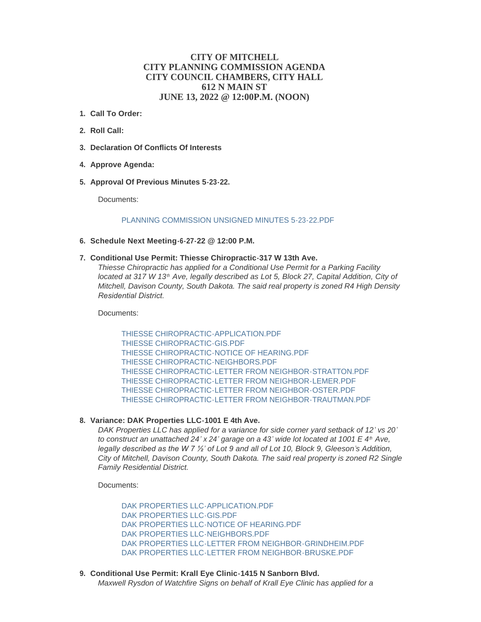# **CITY OF MITCHELL CITY PLANNING COMMISSION AGENDA CITY COUNCIL CHAMBERS, CITY HALL 612 N MAIN ST JUNE 13, 2022 @ 12:00P.M. (NOON)**

- **Call To Order: 1.**
- **Roll Call: 2.**
- **Declaration Of Conflicts Of Interests 3.**
- **Approve Agenda: 4.**
- **Approval Of Previous Minutes 5-23-22. 5.**

Documents:

### [PLANNING COMMISSION UNSIGNED MINUTES 5-23-22.PDF](https://www.cityofmitchell.org/AgendaCenter/ViewFile/Item/13890?fileID=19828)

- **Schedule Next Meeting-6-27-22 @ 12:00 P.M. 6.**
- **Conditional Use Permit: Thiesse Chiropractic-317 W 13th Ave. 7.**

*Thiesse Chiropractic has applied for a Conditional Use Permit for a Parking Facility located at 317 W 13<sup>th</sup> Ave, legally described as Lot 5, Block 27, Capital Addition, City of Mitchell, Davison County, South Dakota. The said real property is zoned R4 High Density Residential District.* 

Documents:

[THIESSE CHIROPRACTIC-APPLICATION.PDF](https://www.cityofmitchell.org/AgendaCenter/ViewFile/Item/13891?fileID=19829) [THIESSE CHIROPRACTIC-GIS.PDF](https://www.cityofmitchell.org/AgendaCenter/ViewFile/Item/13891?fileID=19830) [THIESSE CHIROPRACTIC-NOTICE OF HEARING.PDF](https://www.cityofmitchell.org/AgendaCenter/ViewFile/Item/13891?fileID=19831) [THIESSE CHIROPRACTIC-NEIGHBORS.PDF](https://www.cityofmitchell.org/AgendaCenter/ViewFile/Item/13891?fileID=19832) [THIESSE CHIROPRACTIC-LETTER FROM NEIGHBOR-STRATTON.PDF](https://www.cityofmitchell.org/AgendaCenter/ViewFile/Item/13891?fileID=19879) [THIESSE CHIROPRACTIC-LETTER FROM NEIGHBOR-LEMER.PDF](https://www.cityofmitchell.org/AgendaCenter/ViewFile/Item/13891?fileID=19880) [THIESSE CHIROPRACTIC-LETTER FROM NEIGHBOR-OSTER.PDF](https://www.cityofmitchell.org/AgendaCenter/ViewFile/Item/13891?fileID=19881) [THIESSE CHIROPRACTIC-LETTER FROM NEIGHBOR-TRAUTMAN.PDF](https://www.cityofmitchell.org/AgendaCenter/ViewFile/Item/13891?fileID=19882)

#### **Variance: DAK Properties LLC-1001 E 4th Ave. 8.**

*DAK Properties LLC has applied for a variance for side corner yard setback of 12' vs 20' to construct an unattached 24' x 24' garage on a 43' wide lot located at 1001 E 4<sup>th</sup> Ave, legally described as the W 7 ½' of Lot 9 and all of Lot 10, Block 9, Gleeson's Addition, City of Mitchell, Davison County, South Dakota. The said real property is zoned R2 Single Family Residential District.*

Documents:

[DAK PROPERTIES LLC-APPLICATION.PDF](https://www.cityofmitchell.org/AgendaCenter/ViewFile/Item/13892?fileID=19833) [DAK PROPERTIES LLC-GIS.PDF](https://www.cityofmitchell.org/AgendaCenter/ViewFile/Item/13892?fileID=19834) [DAK PROPERTIES LLC-NOTICE OF HEARING.PDF](https://www.cityofmitchell.org/AgendaCenter/ViewFile/Item/13892?fileID=19835) DAK PROPERTIES LLC-NEIGHBORS PDE [DAK PROPERTIES LLC-LETTER FROM NEIGHBOR-GRINDHEIM.PDF](https://www.cityofmitchell.org/AgendaCenter/ViewFile/Item/13892?fileID=19883) [DAK PROPERTIES LLC-LETTER FROM NEIGHBOR-BRUSKE.PDF](https://www.cityofmitchell.org/AgendaCenter/ViewFile/Item/13892?fileID=19884)

**Conditional Use Permit: Krall Eye Clinic-1415 N Sanborn Blvd. 9.** *Maxwell Rysdon of Watchfire Signs on behalf of Krall Eye Clinic has applied for a*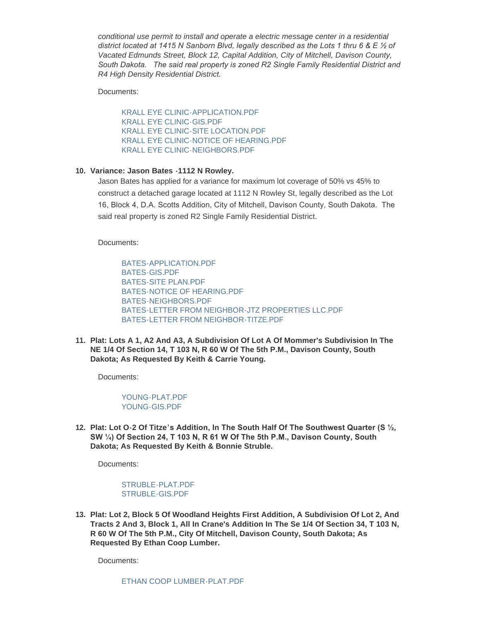*conditional use permit to install and operate a electric message center in a residential district located at 1415 N Sanborn Blvd, legally described as the Lots 1 thru 6 & E ½ of Vacated Edmunds Street, Block 12, Capital Addition, City of Mitchell, Davison County, South Dakota. The said real property is zoned R2 Single Family Residential District and R4 High Density Residential District.*

Documents:

[KRALL EYE CLINIC-APPLICATION.PDF](https://www.cityofmitchell.org/AgendaCenter/ViewFile/Item/13894?fileID=19840) [KRALL EYE CLINIC-GIS.PDF](https://www.cityofmitchell.org/AgendaCenter/ViewFile/Item/13894?fileID=19841) [KRALL EYE CLINIC-SITE LOCATION.PDF](https://www.cityofmitchell.org/AgendaCenter/ViewFile/Item/13894?fileID=19842) [KRALL EYE CLINIC-NOTICE OF HEARING.PDF](https://www.cityofmitchell.org/AgendaCenter/ViewFile/Item/13894?fileID=19843) [KRALL EYE CLINIC-NEIGHBORS.PDF](https://www.cityofmitchell.org/AgendaCenter/ViewFile/Item/13894?fileID=19844)

## **Variance: Jason Bates -1112 N Rowley. 10.**

Jason Bates has applied for a variance for maximum lot coverage of 50% vs 45% to construct a detached garage located at 1112 N Rowley St, legally described as the Lot 16, Block 4, D.A. Scotts Addition, City of Mitchell, Davison County, South Dakota. The said real property is zoned R2 Single Family Residential District.

Documents:

[BATES-APPLICATION.PDF](https://www.cityofmitchell.org/AgendaCenter/ViewFile/Item/13895?fileID=19845) [BATES-GIS.PDF](https://www.cityofmitchell.org/AgendaCenter/ViewFile/Item/13895?fileID=19846) [BATES-SITE PLAN.PDF](https://www.cityofmitchell.org/AgendaCenter/ViewFile/Item/13895?fileID=19847) [BATES-NOTICE OF HEARING.PDF](https://www.cityofmitchell.org/AgendaCenter/ViewFile/Item/13895?fileID=19848) [BATES-NEIGHBORS.PDF](https://www.cityofmitchell.org/AgendaCenter/ViewFile/Item/13895?fileID=19849) [BATES-LETTER FROM NEIGHBOR-JTZ PROPERTIES LLC.PDF](https://www.cityofmitchell.org/AgendaCenter/ViewFile/Item/13895?fileID=19885) [BATES-LETTER FROM NEIGHBOR-TITZE.PDF](https://www.cityofmitchell.org/AgendaCenter/ViewFile/Item/13895?fileID=19886)

**Plat: Lots A 1, A2 And A3, A Subdivision Of Lot A Of Mommer's Subdivision In The 11. NE 1/4 Of Section 14, T 103 N, R 60 W Of The 5th P.M., Davison County, South Dakota; As Requested By Keith & Carrie Young.**

Documents:

[YOUNG-PLAT.PDF](https://www.cityofmitchell.org/AgendaCenter/ViewFile/Item/13896?fileID=19850) [YOUNG-GIS.PDF](https://www.cityofmitchell.org/AgendaCenter/ViewFile/Item/13896?fileID=19851)

**Plat: Lot O-2 Of Titze's Addition, In The South Half Of The Southwest Quarter (S ½, 12. SW ¼) Of Section 24, T 103 N, R 61 W Of The 5th P.M., Davison County, South Dakota; As Requested By Keith & Bonnie Struble.**

Documents:

[STRUBLE-PLAT.PDF](https://www.cityofmitchell.org/AgendaCenter/ViewFile/Item/13897?fileID=19852) [STRUBLE-GIS.PDF](https://www.cityofmitchell.org/AgendaCenter/ViewFile/Item/13897?fileID=19853)

**Plat: Lot 2, Block 5 Of Woodland Heights First Addition, A Subdivision Of Lot 2, And 13. Tracts 2 And 3, Block 1, All In Crane's Addition In The Se 1/4 Of Section 34, T 103 N, R 60 W Of The 5th P.M., City Of Mitchell, Davison County, South Dakota; As Requested By Ethan Coop Lumber.**

Documents: